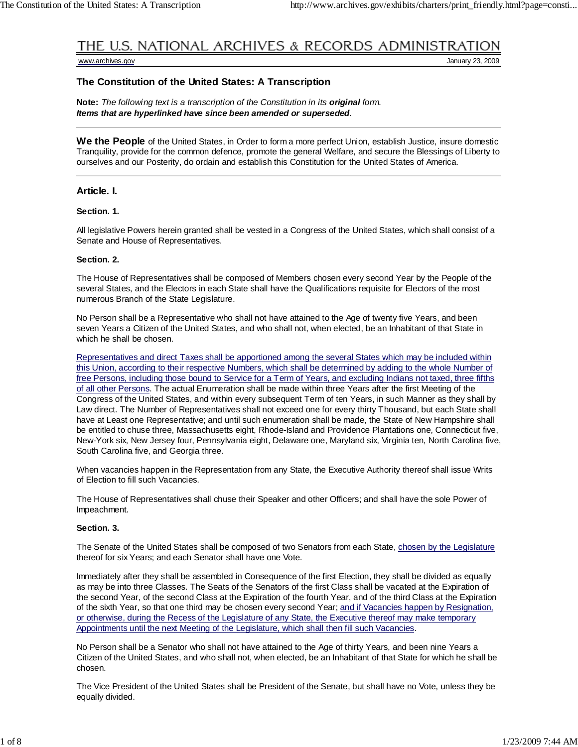# THE U.S. NATIONAL ARCHIVES & RECORDS ADMINISTRATION

www.archives.gov January 23, 2009

### **The Constitution of the United States: A Transcription**

**Note:** *The following text is a transcription of the Constitution in its original form. Items that are hyperlinked have since been amended or superseded.*

**We the People** of the United States, in Order to form a more perfect Union, establish Justice, insure domestic Tranquility, provide for the common defence, promote the general Welfare, and secure the Blessings of Liberty to ourselves and our Posterity, do ordain and establish this Constitution for the United States of America.

#### **Article. I.**

#### **Section. 1.**

All legislative Powers herein granted shall be vested in a Congress of the United States, which shall consist of a Senate and House of Representatives.

#### **Section. 2.**

The House of Representatives shall be composed of Members chosen every second Year by the People of the several States, and the Electors in each State shall have the Qualifications requisite for Electors of the most numerous Branch of the State Legislature.

No Person shall be a Representative who shall not have attained to the Age of twenty five Years, and been seven Years a Citizen of the United States, and who shall not, when elected, be an Inhabitant of that State in which he shall be chosen.

Representatives and direct Taxes shall be apportioned among the several States which may be included within this Union, according to their respective Numbers, which shall be determined by adding to the whole Number of free Persons, including those bound to Service for a Term of Years, and excluding Indians not taxed, three fifths of all other Persons. The actual Enumeration shall be made within three Years after the first Meeting of the Congress of the United States, and within every subsequent Term of ten Years, in such Manner as they shall by Law direct. The Number of Representatives shall not exceed one for every thirty Thousand, but each State shall have at Least one Representative; and until such enumeration shall be made, the State of New Hampshire shall be entitled to chuse three, Massachusetts eight, Rhode-Island and Providence Plantations one, Connecticut five, New-York six, New Jersey four, Pennsylvania eight, Delaware one, Maryland six, Virginia ten, North Carolina five, South Carolina five, and Georgia three.

When vacancies happen in the Representation from any State, the Executive Authority thereof shall issue Writs of Election to fill such Vacancies.

The House of Representatives shall chuse their Speaker and other Officers; and shall have the sole Power of Impeachment.

#### **Section. 3.**

The Senate of the United States shall be composed of two Senators from each State, chosen by the Legislature thereof for six Years; and each Senator shall have one Vote.

Immediately after they shall be assembled in Consequence of the first Election, they shall be divided as equally as may be into three Classes. The Seats of the Senators of the first Class shall be vacated at the Expiration of the second Year, of the second Class at the Expiration of the fourth Year, and of the third Class at the Expiration of the sixth Year, so that one third may be chosen every second Year; and if Vacancies happen by Resignation, or otherwise, during the Recess of the Legislature of any State, the Executive thereof may make temporary Appointments until the next Meeting of the Legislature, which shall then fill such Vacancies.

No Person shall be a Senator who shall not have attained to the Age of thirty Years, and been nine Years a Citizen of the United States, and who shall not, when elected, be an Inhabitant of that State for which he shall be chosen.

The Vice President of the United States shall be President of the Senate, but shall have no Vote, unless they be equally divided.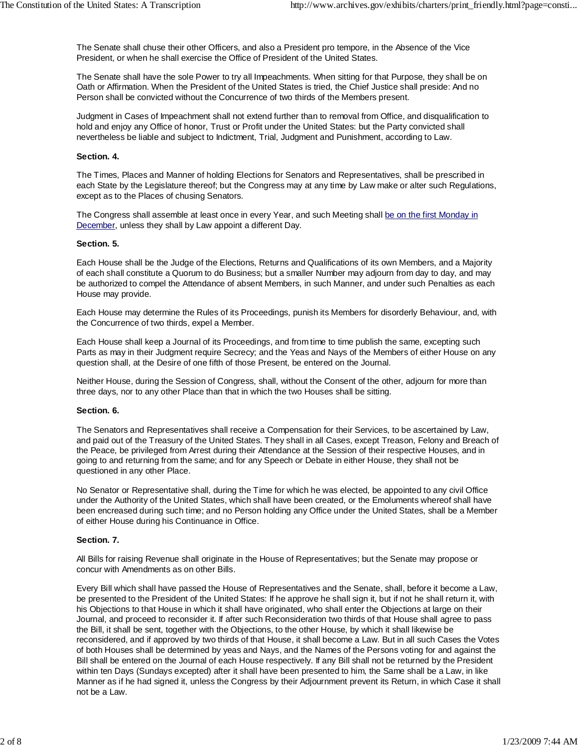The Senate shall chuse their other Officers, and also a President pro tempore, in the Absence of the Vice President, or when he shall exercise the Office of President of the United States.

The Senate shall have the sole Power to try all Impeachments. When sitting for that Purpose, they shall be on Oath or Affirmation. When the President of the United States is tried, the Chief Justice shall preside: And no Person shall be convicted without the Concurrence of two thirds of the Members present.

Judgment in Cases of Impeachment shall not extend further than to removal from Office, and disqualification to hold and enjoy any Office of honor, Trust or Profit under the United States: but the Party convicted shall nevertheless be liable and subject to Indictment, Trial, Judgment and Punishment, according to Law.

#### **Section. 4.**

The Times, Places and Manner of holding Elections for Senators and Representatives, shall be prescribed in each State by the Legislature thereof; but the Congress may at any time by Law make or alter such Regulations, except as to the Places of chusing Senators.

The Congress shall assemble at least once in every Year, and such Meeting shall be on the first Monday in December, unless they shall by Law appoint a different Day.

#### **Section. 5.**

Each House shall be the Judge of the Elections, Returns and Qualifications of its own Members, and a Majority of each shall constitute a Quorum to do Business; but a smaller Number may adjourn from day to day, and may be authorized to compel the Attendance of absent Members, in such Manner, and under such Penalties as each House may provide.

Each House may determine the Rules of its Proceedings, punish its Members for disorderly Behaviour, and, with the Concurrence of two thirds, expel a Member.

Each House shall keep a Journal of its Proceedings, and from time to time publish the same, excepting such Parts as may in their Judgment require Secrecy; and the Yeas and Nays of the Members of either House on any question shall, at the Desire of one fifth of those Present, be entered on the Journal.

Neither House, during the Session of Congress, shall, without the Consent of the other, adjourn for more than three days, nor to any other Place than that in which the two Houses shall be sitting.

#### **Section. 6.**

The Senators and Representatives shall receive a Compensation for their Services, to be ascertained by Law, and paid out of the Treasury of the United States. They shall in all Cases, except Treason, Felony and Breach of the Peace, be privileged from Arrest during their Attendance at the Session of their respective Houses, and in going to and returning from the same; and for any Speech or Debate in either House, they shall not be questioned in any other Place.

No Senator or Representative shall, during the Time for which he was elected, be appointed to any civil Office under the Authority of the United States, which shall have been created, or the Emoluments whereof shall have been encreased during such time; and no Person holding any Office under the United States, shall be a Member of either House during his Continuance in Office.

#### **Section. 7.**

All Bills for raising Revenue shall originate in the House of Representatives; but the Senate may propose or concur with Amendments as on other Bills.

Every Bill which shall have passed the House of Representatives and the Senate, shall, before it become a Law, be presented to the President of the United States: If he approve he shall sign it, but if not he shall return it, with his Objections to that House in which it shall have originated, who shall enter the Objections at large on their Journal, and proceed to reconsider it. If after such Reconsideration two thirds of that House shall agree to pass the Bill, it shall be sent, together with the Objections, to the other House, by which it shall likewise be reconsidered, and if approved by two thirds of that House, it shall become a Law. But in all such Cases the Votes of both Houses shall be determined by yeas and Nays, and the Names of the Persons voting for and against the Bill shall be entered on the Journal of each House respectively. If any Bill shall not be returned by the President within ten Days (Sundays excepted) after it shall have been presented to him, the Same shall be a Law, in like Manner as if he had signed it, unless the Congress by their Adjournment prevent its Return, in which Case it shall not be a Law.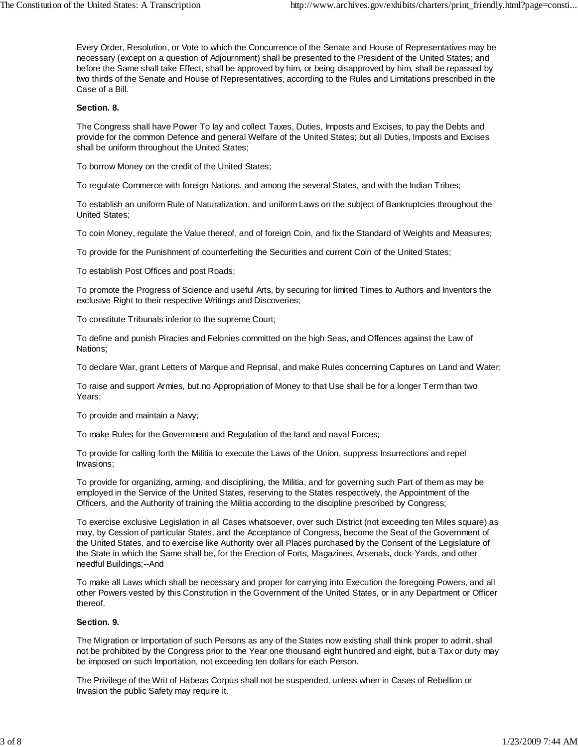Every Order, Resolution, or Vote to which the Concurrence of the Senate and House of Representatives may be necessary (except on a question of Adjournment) shall be presented to the President of the United States; and before the Same shall take Effect, shall be approved by him, or being disapproved by him, shall be repassed by two thirds of the Senate and House of Representatives, according to the Rules and Limitations prescribed in the Case of a Bill.

#### **Section. 8.**

The Congress shall have Power To lay and collect Taxes, Duties, Imposts and Excises, to pay the Debts and provide for the common Defence and general Welfare of the United States; but all Duties, Imposts and Excises shall be uniform throughout the United States;

To borrow Money on the credit of the United States;

To regulate Commerce with foreign Nations, and among the several States, and with the Indian Tribes;

To establish an uniform Rule of Naturalization, and uniform Laws on the subject of Bankruptcies throughout the United States;

To coin Money, regulate the Value thereof, and of foreign Coin, and fix the Standard of Weights and Measures;

To provide for the Punishment of counterfeiting the Securities and current Coin of the United States;

To establish Post Offices and post Roads;

To promote the Progress of Science and useful Arts, by securing for limited Times to Authors and Inventors the exclusive Right to their respective Writings and Discoveries;

To constitute Tribunals inferior to the supreme Court;

To define and punish Piracies and Felonies committed on the high Seas, and Offences against the Law of Nations;

To declare War, grant Letters of Marque and Reprisal, and make Rules concerning Captures on Land and Water;

To raise and support Armies, but no Appropriation of Money to that Use shall be for a longer Term than two Years;

To provide and maintain a Navy;

To make Rules for the Government and Regulation of the land and naval Forces;

To provide for calling forth the Militia to execute the Laws of the Union, suppress Insurrections and repel Invasions;

To provide for organizing, arming, and disciplining, the Militia, and for governing such Part of them as may be employed in the Service of the United States, reserving to the States respectively, the Appointment of the Officers, and the Authority of training the Militia according to the discipline prescribed by Congress;

To exercise exclusive Legislation in all Cases whatsoever, over such District (not exceeding ten Miles square) as may, by Cession of particular States, and the Acceptance of Congress, become the Seat of the Government of the United States, and to exercise like Authority over all Places purchased by the Consent of the Legislature of the State in which the Same shall be, for the Erection of Forts, Magazines, Arsenals, dock-Yards, and other needful Buildings;--And

To make all Laws which shall be necessary and proper for carrying into Execution the foregoing Powers, and all other Powers vested by this Constitution in the Government of the United States, or in any Department or Officer thereof.

## **Section. 9.**

The Migration or Importation of such Persons as any of the States now existing shall think proper to admit, shall not be prohibited by the Congress prior to the Year one thousand eight hundred and eight, but a Tax or duty may be imposed on such Importation, not exceeding ten dollars for each Person.

The Privilege of the Writ of Habeas Corpus shall not be suspended, unless when in Cases of Rebellion or Invasion the public Safety may require it.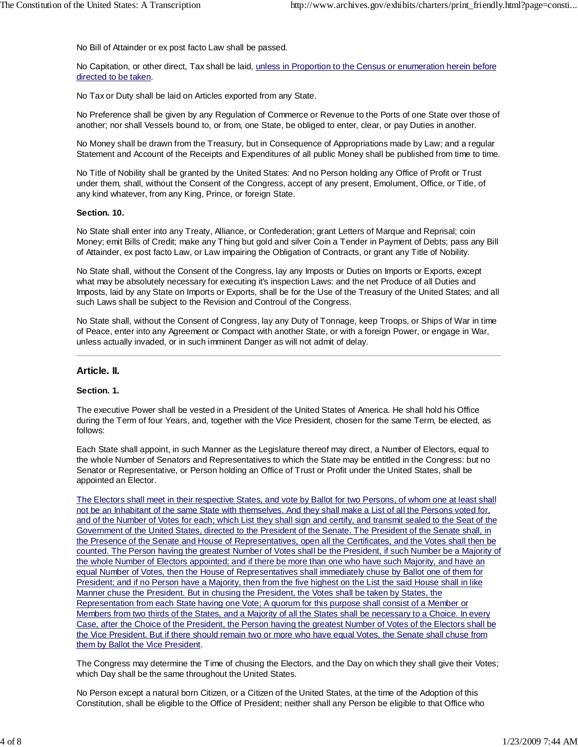No Bill of Attainder or ex post facto Law shall be passed.

No Capitation, or other direct, Tax shall be laid, unless in Proportion to the Census or enumeration herein before directed to be taken.

No Tax or Duty shall be laid on Articles exported from any State.

No Preference shall be given by any Regulation of Commerce or Revenue to the Ports of one State over those of another; nor shall Vessels bound to, or from, one State, be obliged to enter, clear, or pay Duties in another.

No Money shall be drawn from the Treasury, but in Consequence of Appropriations made by Law; and a regular Statement and Account of the Receipts and Expenditures of all public Money shall be published from time to time.

No Title of Nobility shall be granted by the United States: And no Person holding any Office of Profit or Trust under them, shall, without the Consent of the Congress, accept of any present, Emolument, Office, or Title, of any kind whatever, from any King, Prince, or foreign State.

#### **Section. 10.**

No State shall enter into any Treaty, Alliance, or Confederation; grant Letters of Marque and Reprisal; coin Money; emit Bills of Credit; make any Thing but gold and silver Coin a Tender in Payment of Debts; pass any Bill of Attainder, ex post facto Law, or Law impairing the Obligation of Contracts, or grant any Title of Nobility.

No State shall, without the Consent of the Congress, lay any Imposts or Duties on Imports or Exports, except what may be absolutely necessary for executing it's inspection Laws: and the net Produce of all Duties and Imposts, laid by any State on Imports or Exports, shall be for the Use of the Treasury of the United States; and all such Laws shall be subject to the Revision and Controul of the Congress.

No State shall, without the Consent of Congress, lay any Duty of Tonnage, keep Troops, or Ships of War in time of Peace, enter into any Agreement or Compact with another State, or with a foreign Power, or engage in War, unless actually invaded, or in such imminent Danger as will not admit of delay.

# **Article. II.**

## **Section. 1.**

The executive Power shall be vested in a President of the United States of America. He shall hold his Office during the Term of four Years, and, together with the Vice President, chosen for the same Term, be elected, as follows:

Each State shall appoint, in such Manner as the Legislature thereof may direct, a Number of Electors, equal to the whole Number of Senators and Representatives to which the State may be entitled in the Congress: but no Senator or Representative, or Person holding an Office of Trust or Profit under the United States, shall be appointed an Elector.

The Electors shall meet in their respective States, and vote by Ballot for two Persons, of whom one at least shall not be an Inhabitant of the same State with themselves. And they shall make a List of all the Persons voted for, and of the Number of Votes for each; which List they shall sign and certify, and transmit sealed to the Seat of the Government of the United States, directed to the President of the Senate. The President of the Senate shall, in the Presence of the Senate and House of Representatives, open all the Certificates, and the Votes shall then be counted. The Person having the greatest Number of Votes shall be the President, if such Number be a Majority of the whole Number of Electors appointed; and if there be more than one who have such Majority, and have an equal Number of Votes, then the House of Representatives shall immediately chuse by Ballot one of them for President; and if no Person have a Majority, then from the five highest on the List the said House shall in like Manner chuse the President. But in chusing the President, the Votes shall be taken by States, the Representation from each State having one Vote; A quorum for this purpose shall consist of a Member or Members from two thirds of the States, and a Majority of all the States shall be necessary to a Choice. In every Case, after the Choice of the President, the Person having the greatest Number of Votes of the Electors shall be the Vice President. But if there should remain two or more who have equal Votes, the Senate shall chuse from them by Ballot the Vice President.

The Congress may determine the Time of chusing the Electors, and the Day on which they shall give their Votes; which Day shall be the same throughout the United States.

No Person except a natural born Citizen, or a Citizen of the United States, at the time of the Adoption of this Constitution, shall be eligible to the Office of President; neither shall any Person be eligible to that Office who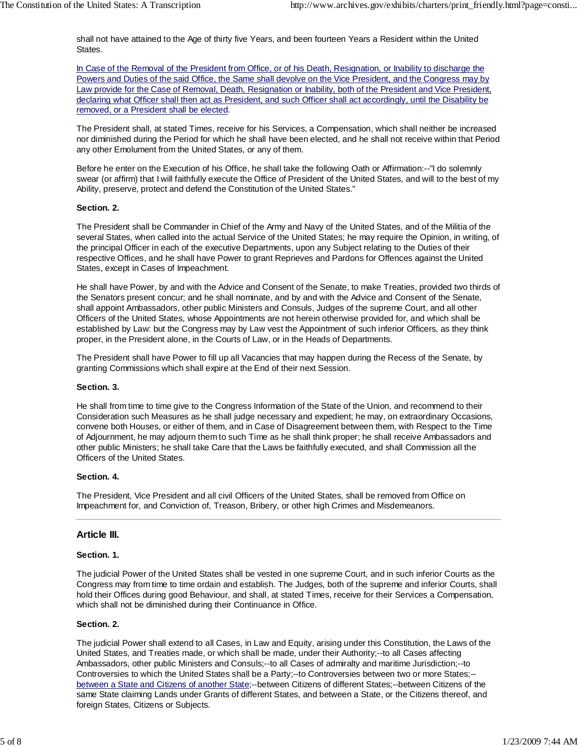shall not have attained to the Age of thirty five Years, and been fourteen Years a Resident within the United States.

In Case of the Removal of the President from Office, or of his Death, Resignation, or Inability to discharge the Powers and Duties of the said Office, the Same shall devolve on the Vice President, and the Congress may by Law provide for the Case of Removal, Death, Resignation or Inability, both of the President and Vice President, declaring what Officer shall then act as President, and such Officer shall act accordingly, until the Disability be removed, or a President shall be elected.

The President shall, at stated Times, receive for his Services, a Compensation, which shall neither be increased nor diminished during the Period for which he shall have been elected, and he shall not receive within that Period any other Emolument from the United States, or any of them.

Before he enter on the Execution of his Office, he shall take the following Oath or Affirmation:--"I do solemnly swear (or affirm) that I will faithfully execute the Office of President of the United States, and will to the best of my Ability, preserve, protect and defend the Constitution of the United States."

#### **Section. 2.**

The President shall be Commander in Chief of the Army and Navy of the United States, and of the Militia of the several States, when called into the actual Service of the United States; he may require the Opinion, in writing, of the principal Officer in each of the executive Departments, upon any Subject relating to the Duties of their respective Offices, and he shall have Power to grant Reprieves and Pardons for Offences against the United States, except in Cases of Impeachment.

He shall have Power, by and with the Advice and Consent of the Senate, to make Treaties, provided two thirds of the Senators present concur; and he shall nominate, and by and with the Advice and Consent of the Senate, shall appoint Ambassadors, other public Ministers and Consuls, Judges of the supreme Court, and all other Officers of the United States, whose Appointments are not herein otherwise provided for, and which shall be established by Law: but the Congress may by Law vest the Appointment of such inferior Officers, as they think proper, in the President alone, in the Courts of Law, or in the Heads of Departments.

The President shall have Power to fill up all Vacancies that may happen during the Recess of the Senate, by granting Commissions which shall expire at the End of their next Session.

#### **Section. 3.**

He shall from time to time give to the Congress Information of the State of the Union, and recommend to their Consideration such Measures as he shall judge necessary and expedient; he may, on extraordinary Occasions, convene both Houses, or either of them, and in Case of Disagreement between them, with Respect to the Time of Adjournment, he may adjourn them to such Time as he shall think proper; he shall receive Ambassadors and other public Ministers; he shall take Care that the Laws be faithfully executed, and shall Commission all the Officers of the United States.

#### **Section. 4.**

The President, Vice President and all civil Officers of the United States, shall be removed from Office on Impeachment for, and Conviction of, Treason, Bribery, or other high Crimes and Misdemeanors.

## **Article III.**

#### **Section. 1.**

The judicial Power of the United States shall be vested in one supreme Court, and in such inferior Courts as the Congress may from time to time ordain and establish. The Judges, both of the supreme and inferior Courts, shall hold their Offices during good Behaviour, and shall, at stated Times, receive for their Services a Compensation, which shall not be diminished during their Continuance in Office.

#### **Section. 2.**

The judicial Power shall extend to all Cases, in Law and Equity, arising under this Constitution, the Laws of the United States, and Treaties made, or which shall be made, under their Authority;--to all Cases affecting Ambassadors, other public Ministers and Consuls;--to all Cases of admiralty and maritime Jurisdiction;--to Controversies to which the United States shall be a Party;--to Controversies between two or more States;- between a State and Citizens of another State;--between Citizens of different States;--between Citizens of the same State claiming Lands under Grants of different States, and between a State, or the Citizens thereof, and foreign States, Citizens or Subjects.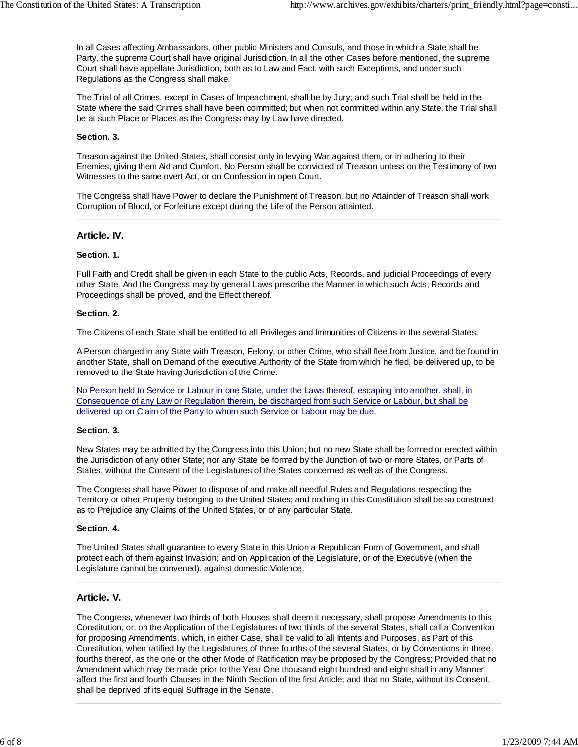In all Cases affecting Ambassadors, other public Ministers and Consuls, and those in which a State shall be Party, the supreme Court shall have original Jurisdiction. In all the other Cases before mentioned, the supreme Court shall have appellate Jurisdiction, both as to Law and Fact, with such Exceptions, and under such Regulations as the Congress shall make.

The Trial of all Crimes, except in Cases of Impeachment, shall be by Jury; and such Trial shall be held in the State where the said Crimes shall have been committed; but when not committed within any State, the Trial shall be at such Place or Places as the Congress may by Law have directed.

#### **Section. 3.**

Treason against the United States, shall consist only in levying War against them, or in adhering to their Enemies, giving them Aid and Comfort. No Person shall be convicted of Treason unless on the Testimony of two Witnesses to the same overt Act, or on Confession in open Court.

The Congress shall have Power to declare the Punishment of Treason, but no Attainder of Treason shall work Corruption of Blood, or Forfeiture except during the Life of the Person attainted.

### **Article. IV.**

### **Section. 1.**

Full Faith and Credit shall be given in each State to the public Acts, Records, and judicial Proceedings of every other State. And the Congress may by general Laws prescribe the Manner in which such Acts, Records and Proceedings shall be proved, and the Effect thereof.

#### **Section. 2.**

The Citizens of each State shall be entitled to all Privileges and Immunities of Citizens in the several States.

A Person charged in any State with Treason, Felony, or other Crime, who shall flee from Justice, and be found in another State, shall on Demand of the executive Authority of the State from which he fled, be delivered up, to be removed to the State having Jurisdiction of the Crime.

No Person held to Service or Labour in one State, under the Laws thereof, escaping into another, shall, in Consequence of any Law or Regulation therein, be discharged from such Service or Labour, but shall be delivered up on Claim of the Party to whom such Service or Labour may be due.

#### **Section. 3.**

New States may be admitted by the Congress into this Union; but no new State shall be formed or erected within the Jurisdiction of any other State; nor any State be formed by the Junction of two or more States, or Parts of States, without the Consent of the Legislatures of the States concerned as well as of the Congress.

The Congress shall have Power to dispose of and make all needful Rules and Regulations respecting the Territory or other Property belonging to the United States; and nothing in this Constitution shall be so construed as to Prejudice any Claims of the United States, or of any particular State.

#### **Section. 4.**

The United States shall guarantee to every State in this Union a Republican Form of Government, and shall protect each of them against Invasion; and on Application of the Legislature, or of the Executive (when the Legislature cannot be convened), against domestic Violence.

## **Article. V.**

The Congress, whenever two thirds of both Houses shall deem it necessary, shall propose Amendments to this Constitution, or, on the Application of the Legislatures of two thirds of the several States, shall call a Convention for proposing Amendments, which, in either Case, shall be valid to all Intents and Purposes, as Part of this Constitution, when ratified by the Legislatures of three fourths of the several States, or by Conventions in three fourths thereof, as the one or the other Mode of Ratification may be proposed by the Congress; Provided that no Amendment which may be made prior to the Year One thousand eight hundred and eight shall in any Manner affect the first and fourth Clauses in the Ninth Section of the first Article; and that no State, without its Consent, shall be deprived of its equal Suffrage in the Senate.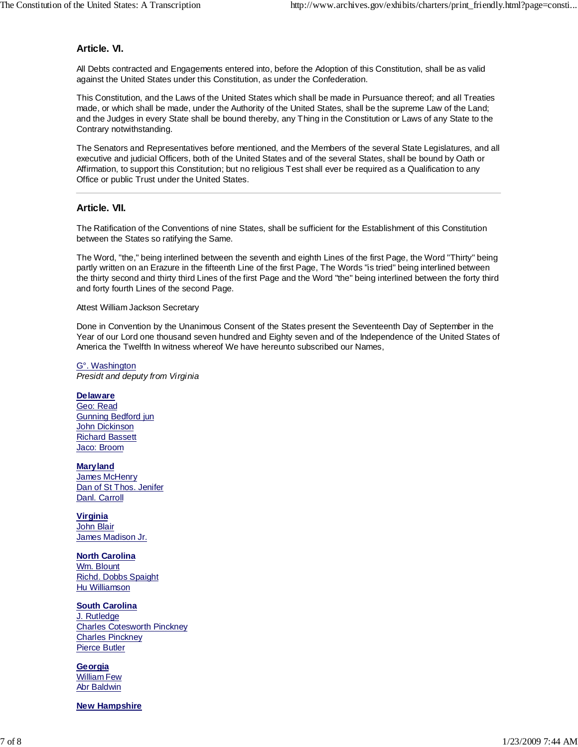# **Article. VI.**

All Debts contracted and Engagements entered into, before the Adoption of this Constitution, shall be as valid against the United States under this Constitution, as under the Confederation.

This Constitution, and the Laws of the United States which shall be made in Pursuance thereof; and all Treaties made, or which shall be made, under the Authority of the United States, shall be the supreme Law of the Land; and the Judges in every State shall be bound thereby, any Thing in the Constitution or Laws of any State to the Contrary notwithstanding.

The Senators and Representatives before mentioned, and the Members of the several State Legislatures, and all executive and judicial Officers, both of the United States and of the several States, shall be bound by Oath or Affirmation, to support this Constitution; but no religious Test shall ever be required as a Qualification to any Office or public Trust under the United States.

# **Article. VII.**

The Ratification of the Conventions of nine States, shall be sufficient for the Establishment of this Constitution between the States so ratifying the Same.

The Word, "the," being interlined between the seventh and eighth Lines of the first Page, the Word "Thirty" being partly written on an Erazure in the fifteenth Line of the first Page, The Words "is tried" being interlined between the thirty second and thirty third Lines of the first Page and the Word "the" being interlined between the forty third and forty fourth Lines of the second Page.

#### Attest William Jackson Secretary

Done in Convention by the Unanimous Consent of the States present the Seventeenth Day of September in the Year of our Lord one thousand seven hundred and Eighty seven and of the Independence of the United States of America the Twelfth In witness whereof We have hereunto subscribed our Names,

G°. Washington *Presidt and deputy from Virginia*

#### **Delaware**

Geo: Read Gunning Bedford jun John Dickinson Richard Bassett Jaco: Broom

**Maryland** James McHenry Dan of St Thos. Jenifer Danl. Carroll

**Virginia** John Blair James Madison Jr.

**North Carolina** Wm. Blount Richd. Dobbs Spaight Hu Williamson

**South Carolina** J. Rutledge Charles Cotesworth Pinckney Charles Pinckney Pierce Butler

**Georgia** William Few Abr Baldwin

## **New Hampshire**